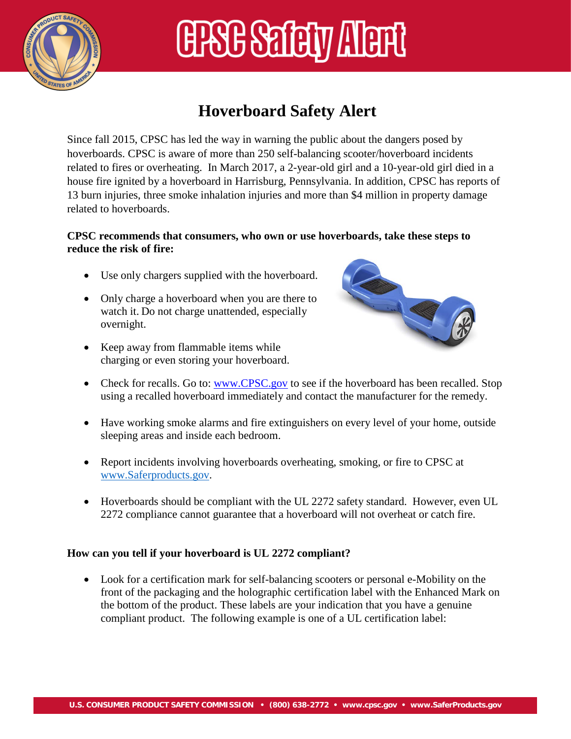

# **ERSE Safety Alert**

### **Hoverboard Safety Alert**

Since fall 2015, CPSC has led the way in warning the public about the dangers posed by hoverboards. CPSC is aware of more than 250 self-balancing scooter/hoverboard incidents related to fires or overheating. In March 2017, a 2-year-old girl and a 10-year-old girl died in a house fire ignited by a hoverboard in Harrisburg, Pennsylvania. In addition, CPSC has reports of 13 burn injuries, three smoke inhalation injuries and more than \$4 million in property damage related to hoverboards.

#### **CPSC recommends that consumers, who own or use hoverboards, take these steps to reduce the risk of fire:**

- Use only chargers supplied with the hoverboard.
- Only charge a hoverboard when you are there to watch it. Do not charge unattended, especially overnight.
- Keep away from flammable items while charging or even storing your hoverboard.



- Check for recalls. Go to: [www.CPSC.gov](http://www.cpsc.gov/) to see if the hoverboard has been recalled. Stop using a recalled hoverboard immediately and contact the manufacturer for the remedy.
- Have working smoke alarms and fire extinguishers on every level of your home, outside sleeping areas and inside each bedroom.
- Report incidents involving hoverboards overheating, smoking, or fire to CPSC at [www.Saferproducts.gov.](http://www.saferproducts.gov/)
- Hoverboards should be compliant with the UL 2272 safety standard. However, even UL 2272 compliance cannot guarantee that a hoverboard will not overheat or catch fire.

### **How can you tell if your hoverboard is UL 2272 compliant?**

• Look for a certification mark for self-balancing scooters or personal e-Mobility on the front of the packaging and the holographic certification label with the Enhanced Mark on the bottom of the product. These labels are your indication that you have a genuine compliant product. The following example is one of a UL certification label: